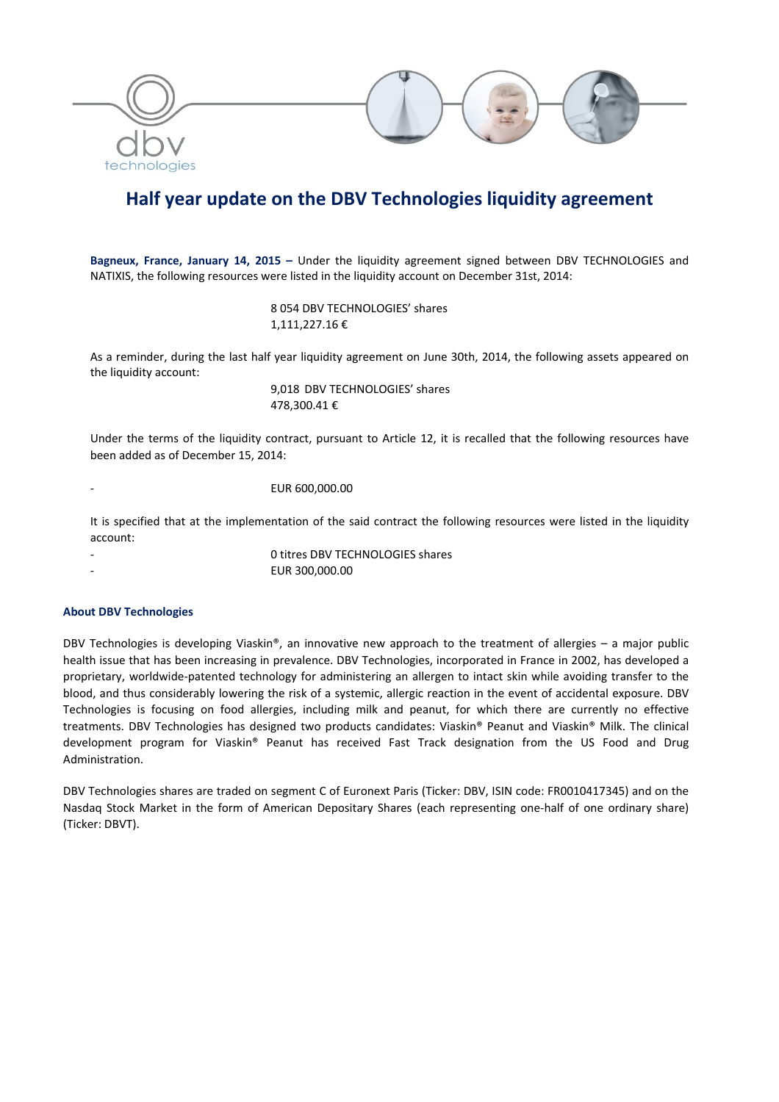

# **Half year update on the DBV Technologies liquidity agreement**

**Bagneux, France, January 14, 2015 –** Under the liquidity agreement signed between DBV TECHNOLOGIES and NATIXIS, the following resources were listed in the liquidity account on December 31st, 2014:

> 8 054 DBV TECHNOLOGIES' shares 1,111,227.16 €

As a reminder, during the last half year liquidity agreement on June 30th, 2014, the following assets appeared on the liquidity account:

> 9,018 DBV TECHNOLOGIES' shares 478,300.41 €

Under the terms of the liquidity contract, pursuant to Article 12, it is recalled that the following resources have been added as of December 15, 2014:

‐ EUR 600,000.00

It is specified that at the implementation of the said contract the following resources were listed in the liquidity account:

- 0 titres DBV TECHNOLOGIES shares
	- ‐ EUR 300,000.00

### **About DBV Technologies**

DBV Technologies is developing Viaskin®, an innovative new approach to the treatment of allergies – a major public health issue that has been increasing in prevalence. DBV Technologies, incorporated in France in 2002, has developed a proprietary, worldwide‐patented technology for administering an allergen to intact skin while avoiding transfer to the blood, and thus considerably lowering the risk of a systemic, allergic reaction in the event of accidental exposure. DBV Technologies is focusing on food allergies, including milk and peanut, for which there are currently no effective treatments. DBV Technologies has designed two products candidates: Viaskin® Peanut and Viaskin® Milk. The clinical development program for Viaskin® Peanut has received Fast Track designation from the US Food and Drug Administration.

DBV Technologies shares are traded on segment C of Euronext Paris (Ticker: DBV, ISIN code: FR0010417345) and on the Nasdaq Stock Market in the form of American Depositary Shares (each representing one‐half of one ordinary share) (Ticker: DBVT).